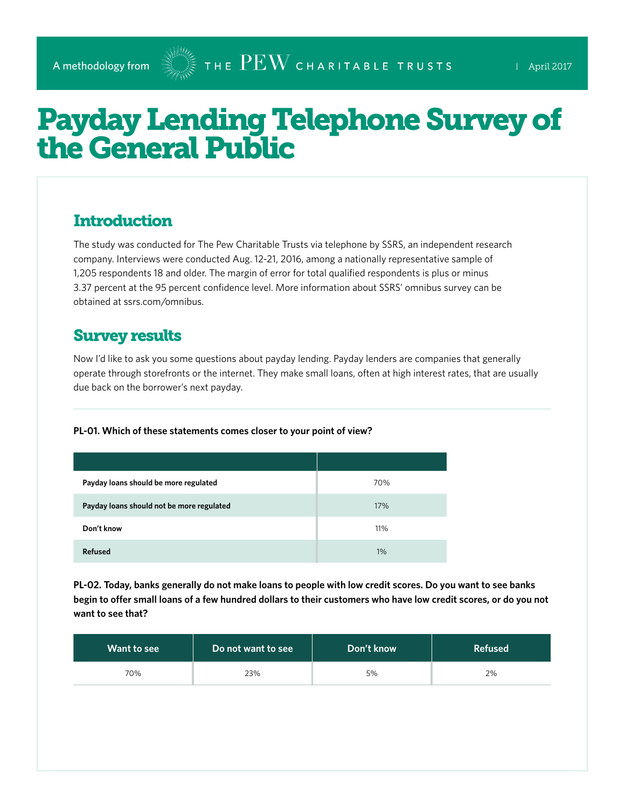# Payday Lending Telephone Survey of the General Public

## **Introduction**

The study was conducted for The Pew Charitable Trusts via telephone by SSRS, an independent research company. Interviews were conducted Aug. 12-21, 2016, among a nationally representative sample of 1,205 respondents 18 and older. The margin of error for total qualified respondents is plus or minus 3.37 percent at the 95 percent confidence level. More information about SSRS' omnibus survey can be obtained at [ssrs.com/omnibus.](http://ssrs.com/omnibus)

### Survey results

Now I'd like to ask you some questions about payday lending. Payday lenders are companies that generally operate through storefronts or the internet. They make small loans, often at high interest rates, that are usually due back on the borrower's next payday.

#### **PL-01. Which of these statements comes closer to your point of view?**

| Payday loans should be more regulated     | 70% |
|-------------------------------------------|-----|
| Payday loans should not be more regulated | 17% |
| Don't know                                | 11% |
| <b>Refused</b>                            | 1%  |

**PL-02. Today, banks generally do not make loans to people with low credit scores. Do you want to see banks begin to offer small loans of a few hundred dollars to their customers who have low credit scores, or do you not want to see that?**

| Want to see | Do not want to see | Don't know | <b>Refused</b> |
|-------------|--------------------|------------|----------------|
| 70%         | 23%                | 5%         | 2%             |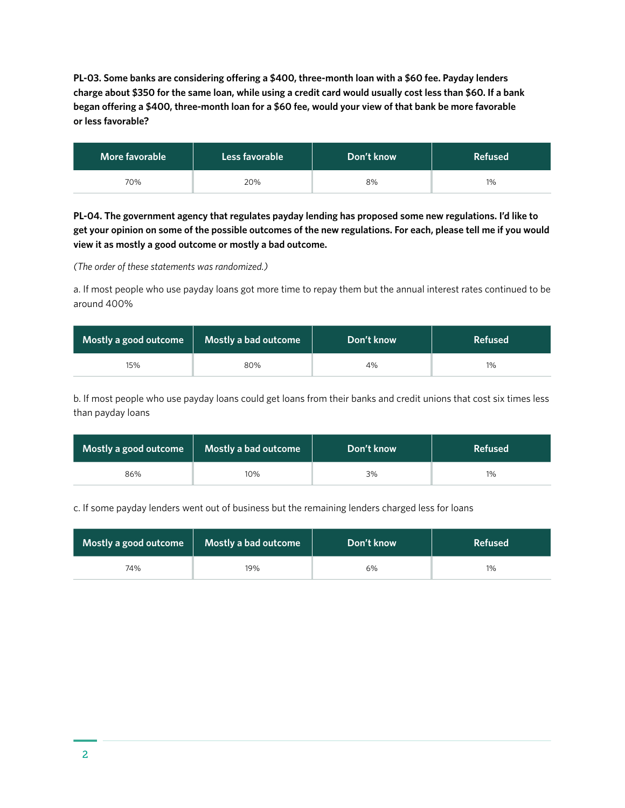**PL-03. Some banks are considering offering a \$400, three-month loan with a \$60 fee. Payday lenders charge about \$350 for the same loan, while using a credit card would usually cost less than \$60. If a bank began offering a \$400, three-month loan for a \$60 fee, would your view of that bank be more favorable or less favorable?**

| More favorable | Less favorable | Don't know | <b>Refused</b> |
|----------------|----------------|------------|----------------|
| 70%            | 20%            | 8%         | 1%             |

**PL-04. The government agency that regulates payday lending has proposed some new regulations. I'd like to get your opinion on some of the possible outcomes of the new regulations. For each, please tell me if you would view it as mostly a good outcome or mostly a bad outcome.** 

*(The order of these statements was randomized.)*

a. If most people who use payday loans got more time to repay them but the annual interest rates continued to be around 400%

| Mostly a good outcome | Mostly a bad outcome | Don't know | <b>Refused</b> |
|-----------------------|----------------------|------------|----------------|
| 15%                   | 80%                  | 4%         | 1%             |

b. If most people who use payday loans could get loans from their banks and credit unions that cost six times less than payday loans

| Mostly a good outcome | Mostly a bad outcome | Don't know | <b>Refused</b> |
|-----------------------|----------------------|------------|----------------|
| 86%                   | 10%                  | 3%         | 1%             |

c. If some payday lenders went out of business but the remaining lenders charged less for loans

| Mostly a good outcome | <b>Mostly a bad outcome</b> | Don't know | <b>Refused</b> |
|-----------------------|-----------------------------|------------|----------------|
| 74%                   | 19%                         | 6%         | 1%             |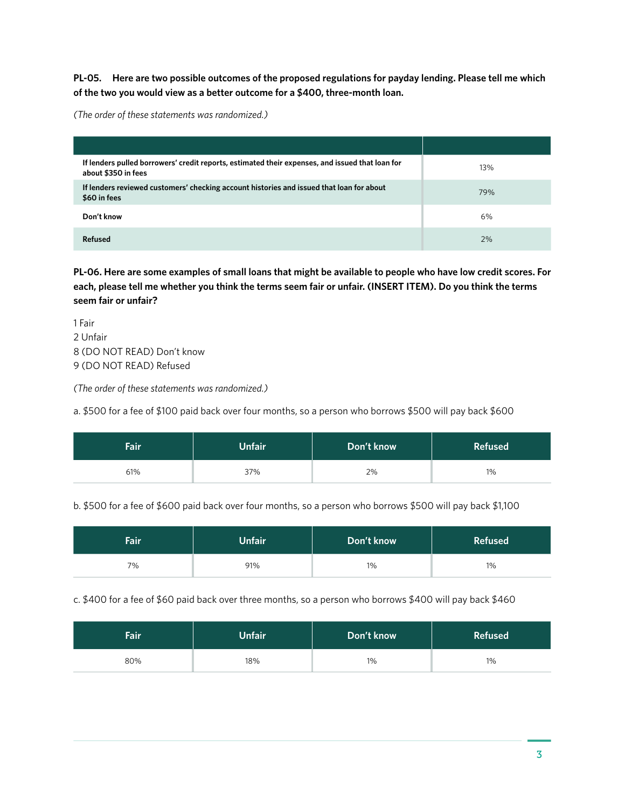**PL-05. Here are two possible outcomes of the proposed regulations for payday lending. Please tell me which of the two you would view as a better outcome for a \$400, three-month loan.**

*(The order of these statements was randomized.)*

| If lenders pulled borrowers' credit reports, estimated their expenses, and issued that loan for<br>about \$350 in fees | 13% |
|------------------------------------------------------------------------------------------------------------------------|-----|
| If lenders reviewed customers' checking account histories and issued that loan for about<br>\$60 in fees               | 79% |
| Don't know                                                                                                             | 6%  |
| Refused                                                                                                                | 2%  |

**PL-06. Here are some examples of small loans that might be available to people who have low credit scores. For each, please tell me whether you think the terms seem fair or unfair. (INSERT ITEM). Do you think the terms seem fair or unfair?**

1 Fair 2 Unfair 8 (DO NOT READ) Don't know 9 (DO NOT READ) Refused

*(The order of these statements was randomized.)*

a. \$500 for a fee of \$100 paid back over four months, so a person who borrows \$500 will pay back \$600

| Fair | Unfair | Don't know | <b>Refused</b> |
|------|--------|------------|----------------|
| 61%  | 37%    | 2%         | 1%             |

b. \$500 for a fee of \$600 paid back over four months, so a person who borrows \$500 will pay back \$1,100

| <b>Fair</b> | Unfair <sup>1</sup> | Don't know | <b>Refused</b> |
|-------------|---------------------|------------|----------------|
| 7%          | 91%                 | $1\%$      | 1%             |

c. \$400 for a fee of \$60 paid back over three months, so a person who borrows \$400 will pay back \$460

| <b>Fair</b> | <b>Unfair</b> | Don't know | <b>Refused</b> |
|-------------|---------------|------------|----------------|
| 80%         | 18%           | 1%         | $1\%$          |